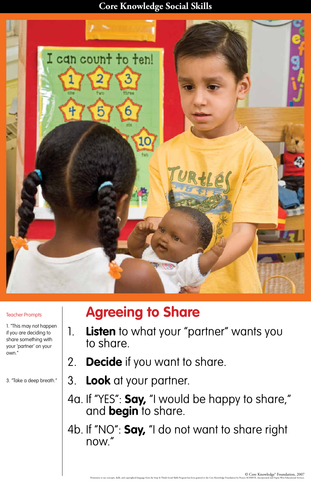#### **Core Knowledge Social Skills**



# **Agreeing to Share**

1. **Listen** to what your "partner" wants you to share.

## 2. **Decide** if you want to share.

3. **Look** at your partner.

## 4a. If "YES": **Say,** "I would be happy to share," and **begin** to share.

## 4b. If "NO": **Say,** "I do not want to share right now."

C Ore Knowledge® Foundation, 2007<br>Permission to use concepts, skills, and copyrighted language from the Stop & Think Social Skills Program has been granted to the Core Knowledge Foundation by Project ACHIEVE, Incorporated

#### Teacher Prompts

1. "This may not happen if you are deciding to share something with your 'partner' on your own."

3. "Take a deep breath."